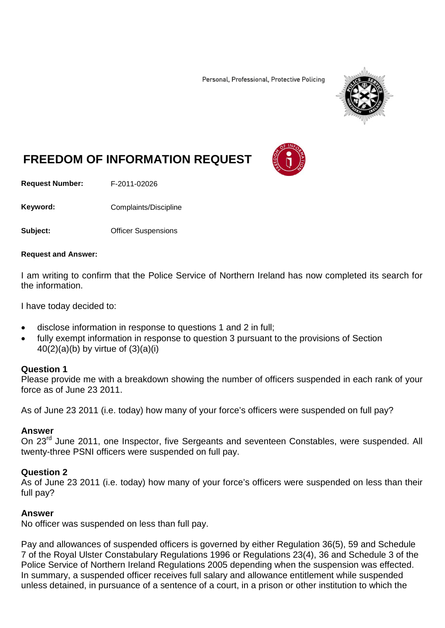Personal, Professional, Protective Policing



# **FREEDOM OF INFORMATION REQUEST**

**Request Number:** F-2011-02026

Keyword: Complaints/Discipline

**Subject: Contract:** Officer Suspensions

#### **Request and Answer:**

I am writing to confirm that the Police Service of Northern Ireland has now completed its search for the information.

I have today decided to:

- disclose information in response to questions 1 and 2 in full;
- fully exempt information in response to question 3 pursuant to the provisions of Section  $40(2)(a)(b)$  by virtue of  $(3)(a)(i)$

#### **Question 1**

Please provide me with a breakdown showing the number of officers suspended in each rank of your force as of June 23 2011.

As of June 23 2011 (i.e. today) how many of your force's officers were suspended on full pay?

### **Answer**

On 23<sup>rd</sup> June 2011, one Inspector, five Sergeants and seventeen Constables, were suspended. All twenty-three PSNI officers were suspended on full pay.

#### **Question 2**

As of June 23 2011 (i.e. today) how many of your force's officers were suspended on less than their full pay?

#### **Answer**

No officer was suspended on less than full pay.

Pay and allowances of suspended officers is governed by either Regulation 36(5), 59 and Schedule 7 of the Royal Ulster Constabulary Regulations 1996 or Regulations 23(4), 36 and Schedule 3 of the Police Service of Northern Ireland Regulations 2005 depending when the suspension was effected. In summary, a suspended officer receives full salary and allowance entitlement while suspended unless detained, in pursuance of a sentence of a court, in a prison or other institution to which the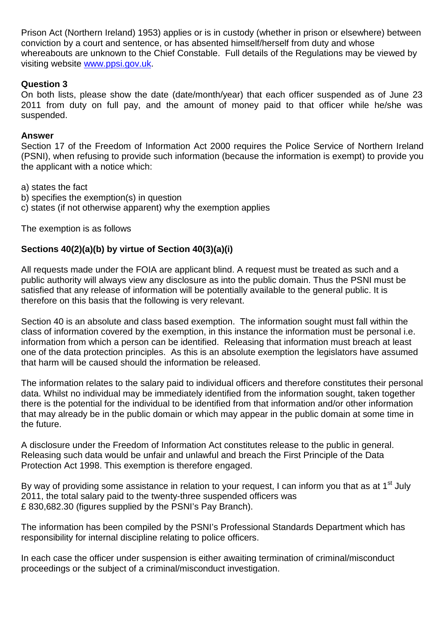Prison Act (Northern Ireland) 1953) applies or is in custody (whether in prison or elsewhere) between conviction by a court and sentence, or has absented himself/herself from duty and whose whereabouts are unknown to the Chief Constable. Full details of the Regulations may be viewed by visiting website [www.ppsi.gov.uk.](http://www.ppsi.gov.uk/)

## **Question 3**

On both lists, please show the date (date/month/year) that each officer suspended as of June 23 2011 from duty on full pay, and the amount of money paid to that officer while he/she was suspended.

## **Answer**

Section 17 of the Freedom of Information Act 2000 requires the Police Service of Northern Ireland (PSNI), when refusing to provide such information (because the information is exempt) to provide you the applicant with a notice which:

a) states the fact

- b) specifies the exemption(s) in question
- c) states (if not otherwise apparent) why the exemption applies

The exemption is as follows

# **Sections 40(2)(a)(b) by virtue of Section 40(3)(a)(i)**

All requests made under the FOIA are applicant blind. A request must be treated as such and a public authority will always view any disclosure as into the public domain. Thus the PSNI must be satisfied that any release of information will be potentially available to the general public. It is therefore on this basis that the following is very relevant.

Section 40 is an absolute and class based exemption. The information sought must fall within the class of information covered by the exemption, in this instance the information must be personal i.e. information from which a person can be identified. Releasing that information must breach at least one of the data protection principles. As this is an absolute exemption the legislators have assumed that harm will be caused should the information be released.

The information relates to the salary paid to individual officers and therefore constitutes their personal data. Whilst no individual may be immediately identified from the information sought, taken together there is the potential for the individual to be identified from that information and/or other information that may already be in the public domain or which may appear in the public domain at some time in the future.

A disclosure under the Freedom of Information Act constitutes release to the public in general. Releasing such data would be unfair and unlawful and breach the First Principle of the Data Protection Act 1998. This exemption is therefore engaged.

By way of providing some assistance in relation to your request, I can inform you that as at  $1<sup>st</sup>$  July 2011, the total salary paid to the twenty-three suspended officers was £ 830,682.30 (figures supplied by the PSNI's Pay Branch).

The information has been compiled by the PSNI's Professional Standards Department which has responsibility for internal discipline relating to police officers.

In each case the officer under suspension is either awaiting termination of criminal/misconduct proceedings or the subject of a criminal/misconduct investigation.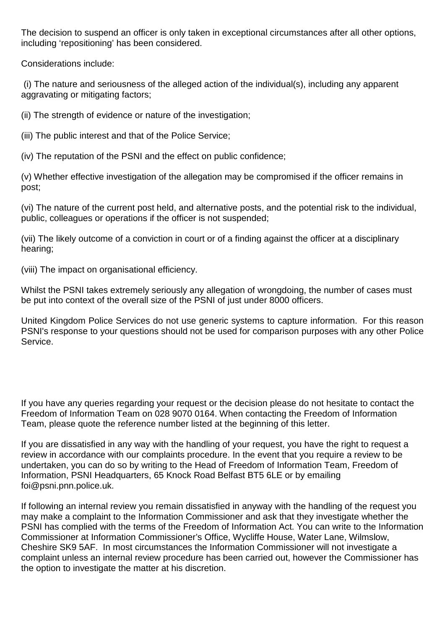The decision to suspend an officer is only taken in exceptional circumstances after all other options, including 'repositioning' has been considered.

Considerations include:

(i) The nature and seriousness of the alleged action of the individual(s), including any apparent aggravating or mitigating factors;

(ii) The strength of evidence or nature of the investigation;

(iii) The public interest and that of the Police Service;

(iv) The reputation of the PSNI and the effect on public confidence;

(v) Whether effective investigation of the allegation may be compromised if the officer remains in post;

(vi) The nature of the current post held, and alternative posts, and the potential risk to the individual, public, colleagues or operations if the officer is not suspended;

(vii) The likely outcome of a conviction in court or of a finding against the officer at a disciplinary hearing;

(viii) The impact on organisational efficiency.

Whilst the PSNI takes extremely seriously any allegation of wrongdoing, the number of cases must be put into context of the overall size of the PSNI of just under 8000 officers.

United Kingdom Police Services do not use generic systems to capture information. For this reason PSNI's response to your questions should not be used for comparison purposes with any other Police Service.

If you have any queries regarding your request or the decision please do not hesitate to contact the Freedom of Information Team on 028 9070 0164. When contacting the Freedom of Information Team, please quote the reference number listed at the beginning of this letter.

If you are dissatisfied in any way with the handling of your request, you have the right to request a review in accordance with our complaints procedure. In the event that you require a review to be undertaken, you can do so by writing to the Head of Freedom of Information Team, Freedom of Information, PSNI Headquarters, 65 Knock Road Belfast BT5 6LE or by emailing foi@psni.pnn.police.uk.

If following an internal review you remain dissatisfied in anyway with the handling of the request you may make a complaint to the Information Commissioner and ask that they investigate whether the PSNI has complied with the terms of the Freedom of Information Act. You can write to the Information Commissioner at Information Commissioner's Office, Wycliffe House, Water Lane, Wilmslow, Cheshire SK9 5AF. In most circumstances the Information Commissioner will not investigate a complaint unless an internal review procedure has been carried out, however the Commissioner has the option to investigate the matter at his discretion.